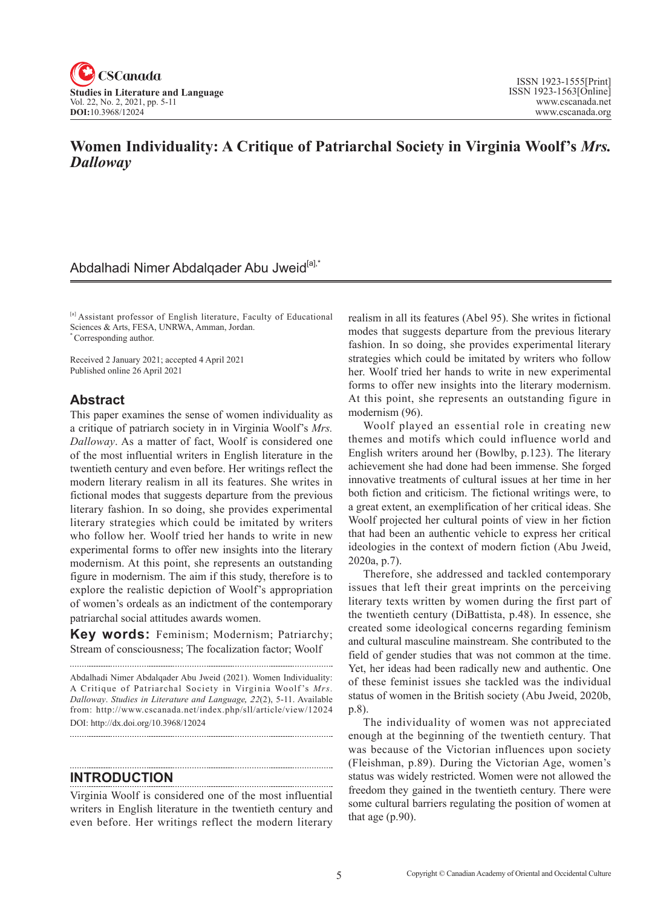

# **Women Individuality: A Critique of Patriarchal Society in Virginia Woolf's** *Mrs. Dalloway*

# Abdalhadi Nimer Abdalqader Abu Jweid<sup>[a],\*</sup>

[a] Assistant professor of English literature, Faculty of Educational Sciences & Arts, FESA, UNRWA, Amman, Jordan. \* Corresponding author.

Received 2 January 2021; accepted 4 April 2021

Published online 26 April 2021

#### **Abstract**

This paper examines the sense of women individuality as a critique of patriarch society in in Virginia Woolf's *Mrs. Dalloway*. As a matter of fact, Woolf is considered one of the most influential writers in English literature in the twentieth century and even before. Her writings reflect the modern literary realism in all its features. She writes in fictional modes that suggests departure from the previous literary fashion. In so doing, she provides experimental literary strategies which could be imitated by writers who follow her. Woolf tried her hands to write in new experimental forms to offer new insights into the literary modernism. At this point, she represents an outstanding figure in modernism. The aim if this study, therefore is to explore the realistic depiction of Woolf's appropriation of women's ordeals as an indictment of the contemporary patriarchal social attitudes awards women.

**Key words:** Feminism; Modernism; Patriarchy; Stream of consciousness; The focalization factor; Woolf

**INTRODUCTION**

Virginia Woolf is considered one of the most influential writers in English literature in the twentieth century and even before. Her writings reflect the modern literary realism in all its features (Abel 95). She writes in fictional modes that suggests departure from the previous literary fashion. In so doing, she provides experimental literary strategies which could be imitated by writers who follow her. Woolf tried her hands to write in new experimental forms to offer new insights into the literary modernism. At this point, she represents an outstanding figure in modernism (96).

Woolf played an essential role in creating new themes and motifs which could influence world and English writers around her (Bowlby, p.123). The literary achievement she had done had been immense. She forged innovative treatments of cultural issues at her time in her both fiction and criticism. The fictional writings were, to a great extent, an exemplification of her critical ideas. She Woolf projected her cultural points of view in her fiction that had been an authentic vehicle to express her critical ideologies in the context of modern fiction (Abu Jweid, 2020a, p.7).

Therefore, she addressed and tackled contemporary issues that left their great imprints on the perceiving literary texts written by women during the first part of the twentieth century (DiBattista, p.48). In essence, she created some ideological concerns regarding feminism and cultural masculine mainstream. She contributed to the field of gender studies that was not common at the time. Yet, her ideas had been radically new and authentic. One of these feminist issues she tackled was the individual status of women in the British society (Abu Jweid, 2020b, p.8).

The individuality of women was not appreciated enough at the beginning of the twentieth century. That was because of the Victorian influences upon society (Fleishman, p.89). During the Victorian Age, women's status was widely restricted. Women were not allowed the freedom they gained in the twentieth century. There were some cultural barriers regulating the position of women at that age (p.90).

Abdalhadi Nimer Abdalqader Abu Jweid (2021). Women Individuality: A Critique of Patriarchal Society in Virginia Woolf 's *Mrs. Dalloway*. *Studies in Literature and Language*, <sup>2</sup>*2*(2), 5-11. Available from: http://www.cscanada.net/index.php/sll/article/view/12024 DOI: http://dx.doi.org/10.3968/12024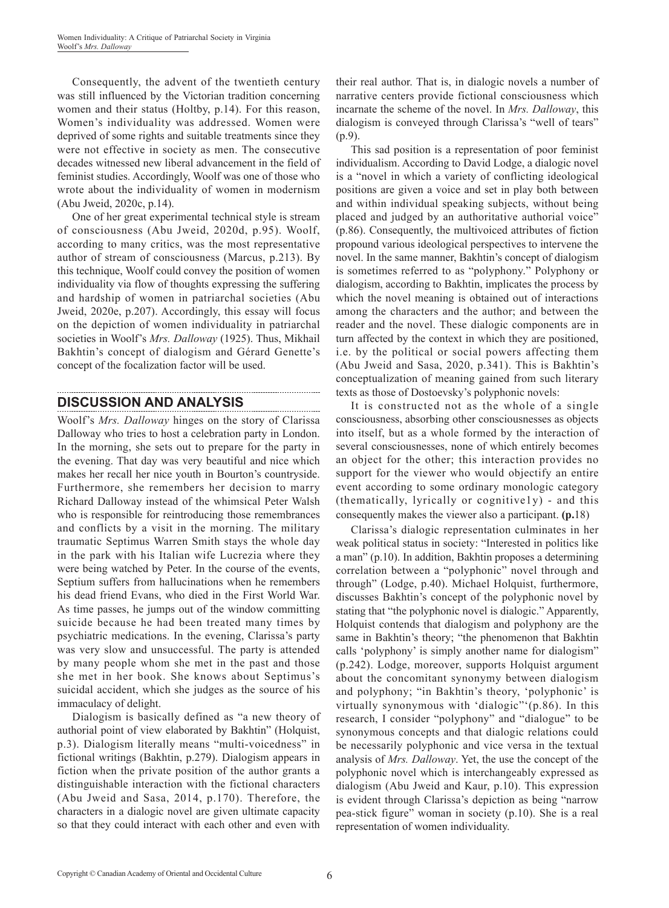Consequently, the advent of the twentieth century was still influenced by the Victorian tradition concerning women and their status (Holtby, p.14). For this reason, Women's individuality was addressed. Women were deprived of some rights and suitable treatments since they were not effective in society as men. The consecutive decades witnessed new liberal advancement in the field of feminist studies. Accordingly, Woolf was one of those who wrote about the individuality of women in modernism (Abu Jweid, 2020c, p.14).

One of her great experimental technical style is stream of consciousness (Abu Jweid, 2020d, p.95). Woolf, according to many critics, was the most representative author of stream of consciousness (Marcus, p.213). By this technique, Woolf could convey the position of women individuality via flow of thoughts expressing the suffering and hardship of women in patriarchal societies (Abu Jweid, 2020e, p.207). Accordingly, this essay will focus on the depiction of women individuality in patriarchal societies in Woolf's *Mrs. Dalloway* (1925). Thus, Mikhail Bakhtin's concept of dialogism and Gérard Genette's concept of the focalization factor will be used.

# **DISCUSSION AND ANALYSIS**

Woolf's *Mrs. Dalloway* hinges on the story of Clarissa Dalloway who tries to host a celebration party in London. In the morning, she sets out to prepare for the party in the evening. That day was very beautiful and nice which makes her recall her nice youth in Bourton's countryside. Furthermore, she remembers her decision to marry Richard Dalloway instead of the whimsical Peter Walsh who is responsible for reintroducing those remembrances and conflicts by a visit in the morning. The military traumatic Septimus Warren Smith stays the whole day in the park with his Italian wife Lucrezia where they were being watched by Peter. In the course of the events, Septium suffers from hallucinations when he remembers his dead friend Evans, who died in the First World War. As time passes, he jumps out of the window committing suicide because he had been treated many times by psychiatric medications. In the evening, Clarissa's party was very slow and unsuccessful. The party is attended by many people whom she met in the past and those she met in her book. She knows about Septimus's suicidal accident, which she judges as the source of his immaculacy of delight.

Dialogism is basically defined as "a new theory of authorial point of view elaborated by Bakhtin" (Holquist, p.3). Dialogism literally means "multi-voicedness" in fictional writings (Bakhtin, p.279). Dialogism appears in fiction when the private position of the author grants a distinguishable interaction with the fictional characters (Abu Jweid and Sasa, 2014, p.170). Therefore, the characters in a dialogic novel are given ultimate capacity so that they could interact with each other and even with

their real author. That is, in dialogic novels a number of narrative centers provide fictional consciousness which incarnate the scheme of the novel. In *Mrs. Dalloway*, this dialogism is conveyed through Clarissa's "well of tears" (p.9).

This sad position is a representation of poor feminist individualism. According to David Lodge, a dialogic novel is a "novel in which a variety of conflicting ideological positions are given a voice and set in play both between and within individual speaking subjects, without being placed and judged by an authoritative authorial voice" (p.86). Consequently, the multivoiced attributes of fiction propound various ideological perspectives to intervene the novel. In the same manner, Bakhtin's concept of dialogism is sometimes referred to as "polyphony." Polyphony or dialogism, according to Bakhtin, implicates the process by which the novel meaning is obtained out of interactions among the characters and the author; and between the reader and the novel. These dialogic components are in turn affected by the context in which they are positioned, i.e. by the political or social powers affecting them (Abu Jweid and Sasa, 2020, p.341). This is Bakhtin's conceptualization of meaning gained from such literary texts as those of Dostoevsky's polyphonic novels:

It is constructed not as the whole of a single consciousness, absorbing other consciousnesses as objects into itself, but as a whole formed by the interaction of several consciousnesses, none of which entirely becomes an object for the other; this interaction provides no support for the viewer who would objectify an entire event according to some ordinary monologic category (thematically, lyrically or cognitive1y) - and this consequently makes the viewer also a participant. **(p.**18)

Clarissa's dialogic representation culminates in her weak political status in society: "Interested in politics like a man" (p.10). In addition, Bakhtin proposes a determining correlation between a "polyphonic" novel through and through" (Lodge, p.40). Michael Holquist, furthermore, discusses Bakhtin's concept of the polyphonic novel by stating that "the polyphonic novel is dialogic." Apparently, Holquist contends that dialogism and polyphony are the same in Bakhtin's theory; "the phenomenon that Bakhtin calls 'polyphony' is simply another name for dialogism" (p.242). Lodge, moreover, supports Holquist argument about the concomitant synonymy between dialogism and polyphony; "in Bakhtin's theory, 'polyphonic' is virtually synonymous with 'dialogic"'(p.86). In this research, I consider "polyphony" and "dialogue" to be synonymous concepts and that dialogic relations could be necessarily polyphonic and vice versa in the textual analysis of *Mrs. Dalloway*. Yet, the use the concept of the polyphonic novel which is interchangeably expressed as dialogism (Abu Jweid and Kaur, p.10). This expression is evident through Clarissa's depiction as being "narrow pea-stick figure" woman in society (p.10). She is a real representation of women individuality.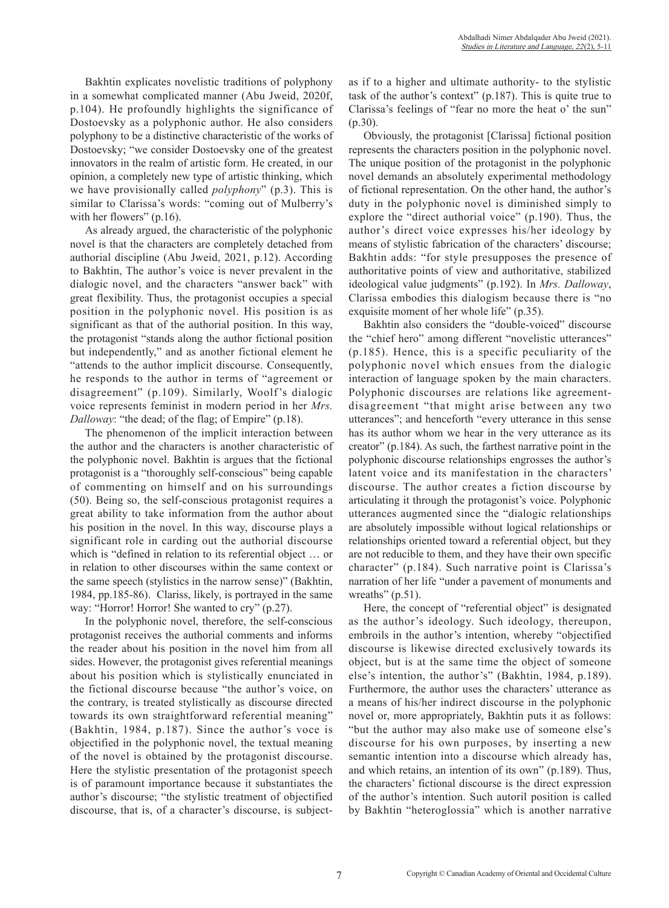Bakhtin explicates novelistic traditions of polyphony in a somewhat complicated manner (Abu Jweid, 2020f, p.104). He profoundly highlights the significance of Dostoevsky as a polyphonic author. He also considers polyphony to be a distinctive characteristic of the works of Dostoevsky; "we consider Dostoevsky one of the greatest innovators in the realm of artistic form. He created, in our opinion, a completely new type of artistic thinking, which we have provisionally called *polyphony*" (p.3). This is similar to Clarissa's words: "coming out of Mulberry's with her flowers" (p.16).

As already argued, the characteristic of the polyphonic novel is that the characters are completely detached from authorial discipline (Abu Jweid, 2021, p.12). According to Bakhtin, The author's voice is never prevalent in the dialogic novel, and the characters "answer back" with great flexibility. Thus, the protagonist occupies a special position in the polyphonic novel. His position is as significant as that of the authorial position. In this way, the protagonist "stands along the author fictional position but independently," and as another fictional element he "attends to the author implicit discourse. Consequently, he responds to the author in terms of "agreement or disagreement" (p.109). Similarly, Woolf's dialogic voice represents feminist in modern period in her *Mrs. Dalloway*: "the dead; of the flag; of Empire" (p.18).

The phenomenon of the implicit interaction between the author and the characters is another characteristic of the polyphonic novel. Bakhtin is argues that the fictional protagonist is a "thoroughly self-conscious" being capable of commenting on himself and on his surroundings (50). Being so, the self-conscious protagonist requires a great ability to take information from the author about his position in the novel. In this way, discourse plays a significant role in carding out the authorial discourse which is "defined in relation to its referential object … or in relation to other discourses within the same context or the same speech (stylistics in the narrow sense)" (Bakhtin, 1984, pp.185-86). Clariss, likely, is portrayed in the same way: "Horror! Horror! She wanted to cry" (p.27).

In the polyphonic novel, therefore, the self-conscious protagonist receives the authorial comments and informs the reader about his position in the novel him from all sides. However, the protagonist gives referential meanings about his position which is stylistically enunciated in the fictional discourse because "the author's voice, on the contrary, is treated stylistically as discourse directed towards its own straightforward referential meaning" (Bakhtin, 1984, p.187). Since the author's voce is objectified in the polyphonic novel, the textual meaning of the novel is obtained by the protagonist discourse. Here the stylistic presentation of the protagonist speech is of paramount importance because it substantiates the author's discourse; "the stylistic treatment of objectified discourse, that is, of a character's discourse, is subjectas if to a higher and ultimate authority- to the stylistic task of the author's context" (p.187). This is quite true to Clarissa's feelings of "fear no more the heat o' the sun" (p.30).

Obviously, the protagonist [Clarissa] fictional position represents the characters position in the polyphonic novel. The unique position of the protagonist in the polyphonic novel demands an absolutely experimental methodology of fictional representation. On the other hand, the author's duty in the polyphonic novel is diminished simply to explore the "direct authorial voice" (p.190). Thus, the author's direct voice expresses his/her ideology by means of stylistic fabrication of the characters' discourse; Bakhtin adds: "for style presupposes the presence of authoritative points of view and authoritative, stabilized ideological value judgments" (p.192). In *Mrs. Dalloway*, Clarissa embodies this dialogism because there is "no exquisite moment of her whole life" (p.35).

Bakhtin also considers the "double-voiced" discourse the "chief hero" among different "novelistic utterances" (p.185). Hence, this is a specific peculiarity of the polyphonic novel which ensues from the dialogic interaction of language spoken by the main characters. Polyphonic discourses are relations like agreementdisagreement "that might arise between any two utterances"; and henceforth "every utterance in this sense has its author whom we hear in the very utterance as its creator" (p.184). As such, the farthest narrative point in the polyphonic discourse relationships engrosses the author's latent voice and its manifestation in the characters' discourse. The author creates a fiction discourse by articulating it through the protagonist's voice. Polyphonic utterances augmented since the "dialogic relationships are absolutely impossible without logical relationships or relationships oriented toward a referential object, but they are not reducible to them, and they have their own specific character" (p.184). Such narrative point is Clarissa's narration of her life "under a pavement of monuments and wreaths"  $(p.51)$ .

Here, the concept of "referential object" is designated as the author's ideology. Such ideology, thereupon, embroils in the author's intention, whereby "objectified discourse is likewise directed exclusively towards its object, but is at the same time the object of someone else's intention, the author's" (Bakhtin, 1984, p.189). Furthermore, the author uses the characters' utterance as a means of his/her indirect discourse in the polyphonic novel or, more appropriately, Bakhtin puts it as follows: "but the author may also make use of someone else's discourse for his own purposes, by inserting a new semantic intention into a discourse which already has, and which retains, an intention of its own" (p.189). Thus, the characters' fictional discourse is the direct expression of the author's intention. Such autoril position is called by Bakhtin "heteroglossia" which is another narrative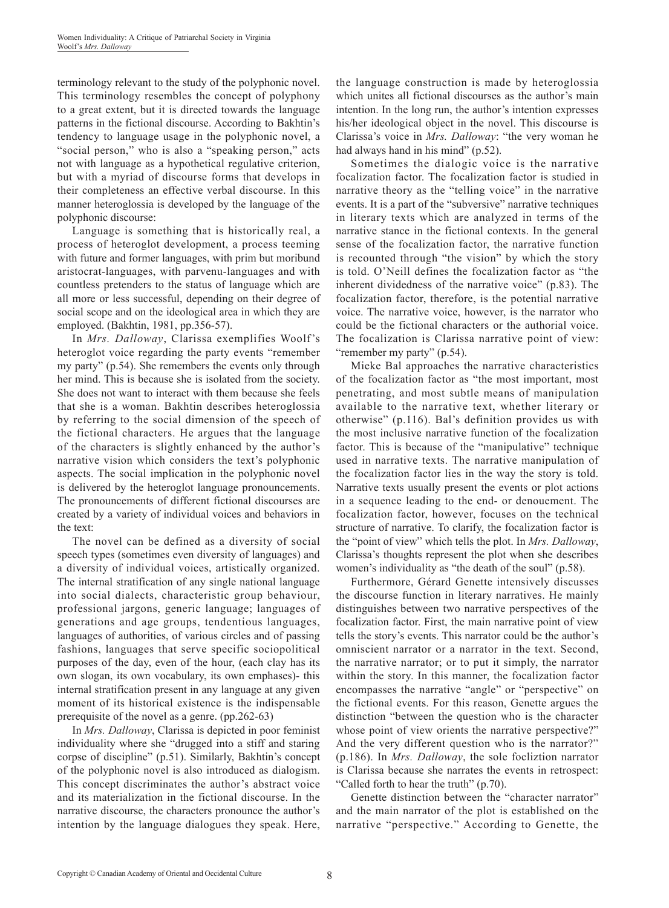terminology relevant to the study of the polyphonic novel. This terminology resembles the concept of polyphony to a great extent, but it is directed towards the language patterns in the fictional discourse. According to Bakhtin's tendency to language usage in the polyphonic novel, a "social person," who is also a "speaking person," acts not with language as a hypothetical regulative criterion, but with a myriad of discourse forms that develops in their completeness an effective verbal discourse. In this manner heteroglossia is developed by the language of the polyphonic discourse:

Language is something that is historically real, a process of heteroglot development, a process teeming with future and former languages, with prim but moribund aristocrat-languages, with parvenu-languages and with countless pretenders to the status of language which are all more or less successful, depending on their degree of social scope and on the ideological area in which they are employed. (Bakhtin, 1981, pp.356-57).

In *Mrs. Dalloway*, Clarissa exemplifies Woolf's heteroglot voice regarding the party events "remember my party" (p.54). She remembers the events only through her mind. This is because she is isolated from the society. She does not want to interact with them because she feels that she is a woman. Bakhtin describes heteroglossia by referring to the social dimension of the speech of the fictional characters. He argues that the language of the characters is slightly enhanced by the author's narrative vision which considers the text's polyphonic aspects. The social implication in the polyphonic novel is delivered by the heteroglot language pronouncements. The pronouncements of different fictional discourses are created by a variety of individual voices and behaviors in the text:

The novel can be defined as a diversity of social speech types (sometimes even diversity of languages) and a diversity of individual voices, artistically organized. The internal stratification of any single national language into social dialects, characteristic group behaviour, professional jargons, generic language; languages of generations and age groups, tendentious languages, languages of authorities, of various circles and of passing fashions, languages that serve specific sociopolitical purposes of the day, even of the hour, (each clay has its own slogan, its own vocabulary, its own emphases)- this internal stratification present in any language at any given moment of its historical existence is the indispensable prerequisite of the novel as a genre. (pp.262-63)

In *Mrs. Dalloway*, Clarissa is depicted in poor feminist individuality where she "drugged into a stiff and staring corpse of discipline" (p.51). Similarly, Bakhtin's concept of the polyphonic novel is also introduced as dialogism. This concept discriminates the author's abstract voice and its materialization in the fictional discourse. In the narrative discourse, the characters pronounce the author's intention by the language dialogues they speak. Here,

the language construction is made by heteroglossia which unites all fictional discourses as the author's main intention. In the long run, the author's intention expresses his/her ideological object in the novel. This discourse is Clarissa's voice in *Mrs. Dalloway*: "the very woman he had always hand in his mind" (p.52).

Sometimes the dialogic voice is the narrative focalization factor. The focalization factor is studied in narrative theory as the "telling voice" in the narrative events. It is a part of the "subversive" narrative techniques in literary texts which are analyzed in terms of the narrative stance in the fictional contexts. In the general sense of the focalization factor, the narrative function is recounted through "the vision" by which the story is told. O'Neill defines the focalization factor as "the inherent dividedness of the narrative voice" (p.83). The focalization factor, therefore, is the potential narrative voice. The narrative voice, however, is the narrator who could be the fictional characters or the authorial voice. The focalization is Clarissa narrative point of view: "remember my party" (p.54).

Mieke Bal approaches the narrative characteristics of the focalization factor as "the most important, most penetrating, and most subtle means of manipulation available to the narrative text, whether literary or otherwise" (p.116). Bal's definition provides us with the most inclusive narrative function of the focalization factor. This is because of the "manipulative" technique used in narrative texts. The narrative manipulation of the focalization factor lies in the way the story is told. Narrative texts usually present the events or plot actions in a sequence leading to the end- or denouement. The focalization factor, however, focuses on the technical structure of narrative. To clarify, the focalization factor is the "point of view" which tells the plot. In *Mrs. Dalloway*, Clarissa's thoughts represent the plot when she describes women's individuality as "the death of the soul" (p.58).

Furthermore, Gérard Genette intensively discusses the discourse function in literary narratives. He mainly distinguishes between two narrative perspectives of the focalization factor. First, the main narrative point of view tells the story's events. This narrator could be the author's omniscient narrator or a narrator in the text. Second, the narrative narrator; or to put it simply, the narrator within the story. In this manner, the focalization factor encompasses the narrative "angle" or "perspective" on the fictional events. For this reason, Genette argues the distinction "between the question who is the character whose point of view orients the narrative perspective?" And the very different question who is the narrator?" (p.186). In *Mrs. Dalloway*, the sole focliztion narrator is Clarissa because she narrates the events in retrospect: "Called forth to hear the truth" (p.70).

Genette distinction between the "character narrator" and the main narrator of the plot is established on the narrative "perspective." According to Genette, the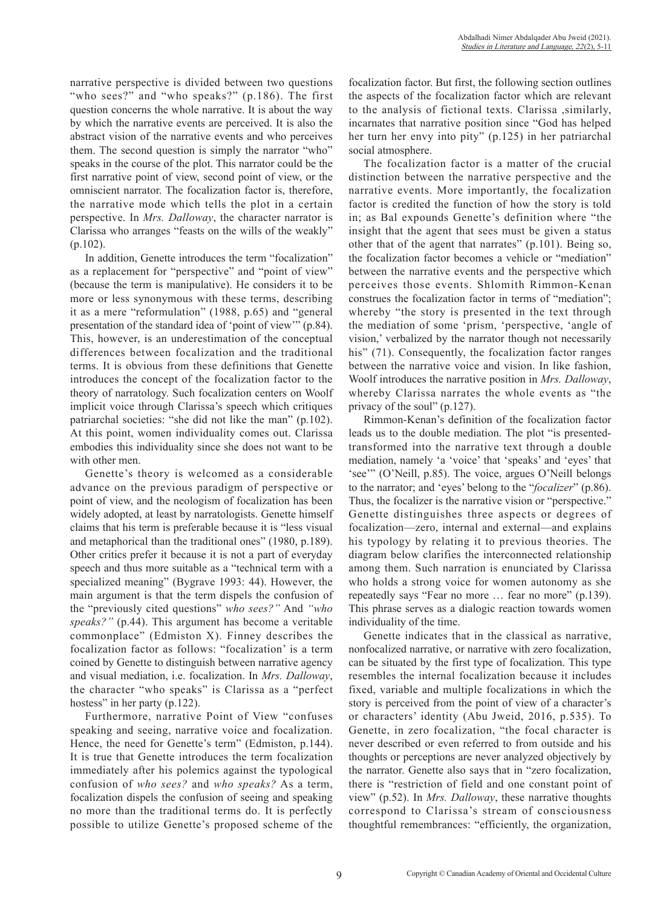narrative perspective is divided between two questions "who sees?" and "who speaks?" (p.186). The first question concerns the whole narrative. It is about the way by which the narrative events are perceived. It is also the abstract vision of the narrative events and who perceives them. The second question is simply the narrator "who" speaks in the course of the plot. This narrator could be the first narrative point of view, second point of view, or the omniscient narrator. The focalization factor is, therefore, the narrative mode which tells the plot in a certain perspective. In *Mrs. Dalloway*, the character narrator is Clarissa who arranges "feasts on the wills of the weakly"  $(p.102)$ .

In addition, Genette introduces the term "focalization" as a replacement for "perspective" and "point of view" (because the term is manipulative). He considers it to be more or less synonymous with these terms, describing it as a mere "reformulation" (1988, p.65) and "general presentation of the standard idea of 'point of view'" (p.84). This, however, is an underestimation of the conceptual differences between focalization and the traditional terms. It is obvious from these definitions that Genette introduces the concept of the focalization factor to the theory of narratology. Such focalization centers on Woolf implicit voice through Clarissa's speech which critiques patriarchal societies: "she did not like the man" (p.102). At this point, women individuality comes out. Clarissa embodies this individuality since she does not want to be with other men.

Genette's theory is welcomed as a considerable advance on the previous paradigm of perspective or point of view, and the neologism of focalization has been widely adopted, at least by narratologists. Genette himself claims that his term is preferable because it is "less visual and metaphorical than the traditional ones" (1980, p.189). Other critics prefer it because it is not a part of everyday speech and thus more suitable as a "technical term with a specialized meaning" (Bygrave 1993: 44). However, the main argument is that the term dispels the confusion of the "previously cited questions" *who sees?"* And *"who speaks?"* (p.44). This argument has become a veritable commonplace" (Edmiston X). Finney describes the focalization factor as follows: "focalization' is a term coined by Genette to distinguish between narrative agency and visual mediation, i.e. focalization. In *Mrs. Dalloway*, the character "who speaks" is Clarissa as a "perfect hostess" in her party (p.122).

Furthermore, narrative Point of View "confuses speaking and seeing, narrative voice and focalization. Hence, the need for Genette's term" (Edmiston, p.144). It is true that Genette introduces the term focalization immediately after his polemics against the typological confusion of *who sees?* and *who speaks?* As a term, focalization dispels the confusion of seeing and speaking no more than the traditional terms do. It is perfectly possible to utilize Genette's proposed scheme of the focalization factor. But first, the following section outlines the aspects of the focalization factor which are relevant to the analysis of fictional texts. Clarissa ,similarly, incarnates that narrative position since "God has helped her turn her envy into pity" (p.125) in her patriarchal social atmosphere.

The focalization factor is a matter of the crucial distinction between the narrative perspective and the narrative events. More importantly, the focalization factor is credited the function of how the story is told in; as Bal expounds Genette's definition where "the insight that the agent that sees must be given a status other that of the agent that narrates" (p.101). Being so, the focalization factor becomes a vehicle or "mediation" between the narrative events and the perspective which perceives those events. Shlomith Rimmon-Kenan construes the focalization factor in terms of "mediation"; whereby "the story is presented in the text through the mediation of some 'prism, 'perspective, 'angle of vision,' verbalized by the narrator though not necessarily his" (71). Consequently, the focalization factor ranges between the narrative voice and vision. In like fashion, Woolf introduces the narrative position in *Mrs. Dalloway*, whereby Clarissa narrates the whole events as "the privacy of the soul" (p.127).

Rimmon-Kenan's definition of the focalization factor leads us to the double mediation. The plot "is presentedtransformed into the narrative text through a double mediation, namely 'a 'voice' that 'speaks' and 'eyes' that 'see'" (O'Neill, p.85). The voice, argues O'Neill belongs to the narrator; and 'eyes' belong to the "*focalizer*" (p.86). Thus, the focalizer is the narrative vision or "perspective." Genette distinguishes three aspects or degrees of focalization—zero, internal and external—and explains his typology by relating it to previous theories. The diagram below clarifies the interconnected relationship among them. Such narration is enunciated by Clarissa who holds a strong voice for women autonomy as she repeatedly says "Fear no more … fear no more" (p.139). This phrase serves as a dialogic reaction towards women individuality of the time.

Genette indicates that in the classical as narrative, nonfocalized narrative, or narrative with zero focalization, can be situated by the first type of focalization. This type resembles the internal focalization because it includes fixed, variable and multiple focalizations in which the story is perceived from the point of view of a character's or characters' identity (Abu Jweid, 2016, p.535). To Genette, in zero focalization, "the focal character is never described or even referred to from outside and his thoughts or perceptions are never analyzed objectively by the narrator. Genette also says that in "zero focalization, there is "restriction of field and one constant point of view" (p.52). In *Mrs. Dalloway*, these narrative thoughts correspond to Clarissa's stream of consciousness thoughtful remembrances: "efficiently, the organization,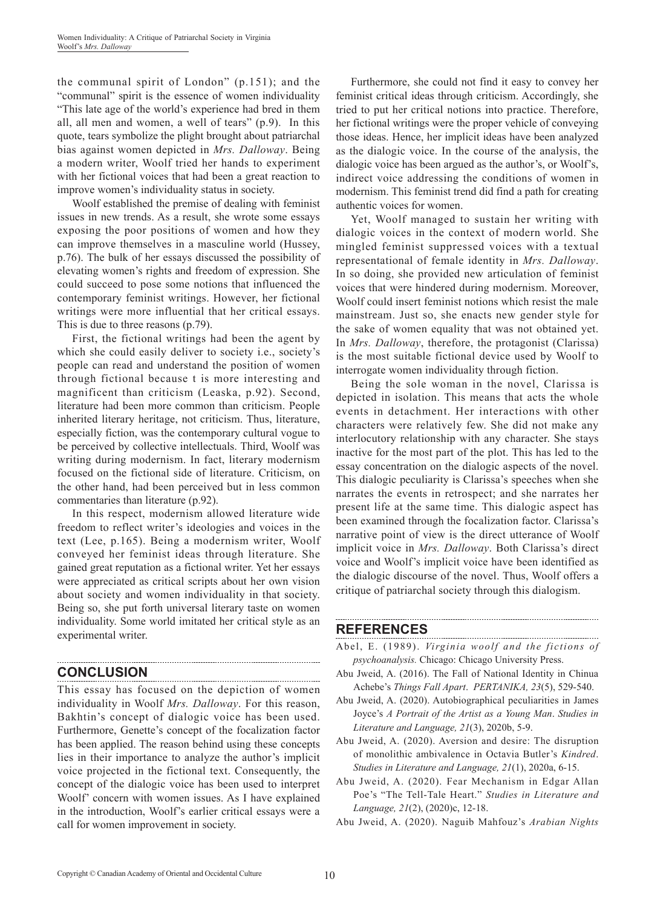the communal spirit of London" (p.151); and the "communal" spirit is the essence of women individuality "This late age of the world's experience had bred in them all, all men and women, a well of tears" (p.9). In this quote, tears symbolize the plight brought about patriarchal bias against women depicted in *Mrs. Dalloway*. Being a modern writer, Woolf tried her hands to experiment with her fictional voices that had been a great reaction to improve women's individuality status in society.

Woolf established the premise of dealing with feminist issues in new trends. As a result, she wrote some essays exposing the poor positions of women and how they can improve themselves in a masculine world (Hussey, p.76). The bulk of her essays discussed the possibility of elevating women's rights and freedom of expression. She could succeed to pose some notions that influenced the contemporary feminist writings. However, her fictional writings were more influential that her critical essays. This is due to three reasons (p.79).

First, the fictional writings had been the agent by which she could easily deliver to society i.e., society's people can read and understand the position of women through fictional because t is more interesting and magnificent than criticism (Leaska, p.92). Second, literature had been more common than criticism. People inherited literary heritage, not criticism. Thus, literature, especially fiction, was the contemporary cultural vogue to be perceived by collective intellectuals. Third, Woolf was writing during modernism. In fact, literary modernism focused on the fictional side of literature. Criticism, on the other hand, had been perceived but in less common commentaries than literature (p.92).

In this respect, modernism allowed literature wide freedom to reflect writer's ideologies and voices in the text (Lee, p.165). Being a modernism writer, Woolf conveyed her feminist ideas through literature. She gained great reputation as a fictional writer. Yet her essays were appreciated as critical scripts about her own vision about society and women individuality in that society. Being so, she put forth universal literary taste on women individuality. Some world imitated her critical style as an experimental writer.

# **CONCLUSION**

This essay has focused on the depiction of women individuality in Woolf *Mrs. Dalloway*. For this reason, Bakhtin's concept of dialogic voice has been used. Furthermore, Genette's concept of the focalization factor has been applied. The reason behind using these concepts lies in their importance to analyze the author's implicit voice projected in the fictional text. Consequently, the concept of the dialogic voice has been used to interpret Woolf' concern with women issues. As I have explained in the introduction, Woolf's earlier critical essays were a call for women improvement in society.

Furthermore, she could not find it easy to convey her feminist critical ideas through criticism. Accordingly, she tried to put her critical notions into practice. Therefore, her fictional writings were the proper vehicle of conveying those ideas. Hence, her implicit ideas have been analyzed as the dialogic voice. In the course of the analysis, the dialogic voice has been argued as the author's, or Woolf's, indirect voice addressing the conditions of women in modernism. This feminist trend did find a path for creating authentic voices for women.

Yet, Woolf managed to sustain her writing with dialogic voices in the context of modern world. She mingled feminist suppressed voices with a textual representational of female identity in *Mrs. Dalloway*. In so doing, she provided new articulation of feminist voices that were hindered during modernism. Moreover, Woolf could insert feminist notions which resist the male mainstream. Just so, she enacts new gender style for the sake of women equality that was not obtained yet. In *Mrs. Dalloway*, therefore, the protagonist (Clarissa) is the most suitable fictional device used by Woolf to interrogate women individuality through fiction.

Being the sole woman in the novel, Clarissa is depicted in isolation. This means that acts the whole events in detachment. Her interactions with other characters were relatively few. She did not make any interlocutory relationship with any character. She stays inactive for the most part of the plot. This has led to the essay concentration on the dialogic aspects of the novel. This dialogic peculiarity is Clarissa's speeches when she narrates the events in retrospect; and she narrates her present life at the same time. This dialogic aspect has been examined through the focalization factor. Clarissa's narrative point of view is the direct utterance of Woolf implicit voice in *Mrs. Dalloway*. Both Clarissa's direct voice and Woolf's implicit voice have been identified as the dialogic discourse of the novel. Thus, Woolf offers a critique of patriarchal society through this dialogism.

#### **REFERENCES**

Abel, E. (1989). *Virginia woolf and the fictions of psychoanalysis.* Chicago: Chicago University Press.

- Abu Jweid, A. (2016). The Fall of National Identity in Chinua Achebe's *Things Fall Apart*. *PERTANIKA, 23*(5), 529-540.
- Abu Jweid, A. (2020). Autobiographical peculiarities in James Joyce's *A Portrait of the Artist as a Young Man*. *Studies in Literature and Language, 21*(3), 2020b, 5-9.
- Abu Jweid, A. (2020). Aversion and desire: The disruption of monolithic ambivalence in Octavia Butler's *Kindred*. *Studies in Literature and Language, 21*(1), 2020a, 6-15.
- Abu Jweid, A. (2020). Fear Mechanism in Edgar Allan Poe's "The Tell-Tale Heart." *Studies in Literature and Language, 21*(2), (2020)c, 12-18.

Abu Jweid, A. (2020). Naguib Mahfouz's *Arabian Nights*